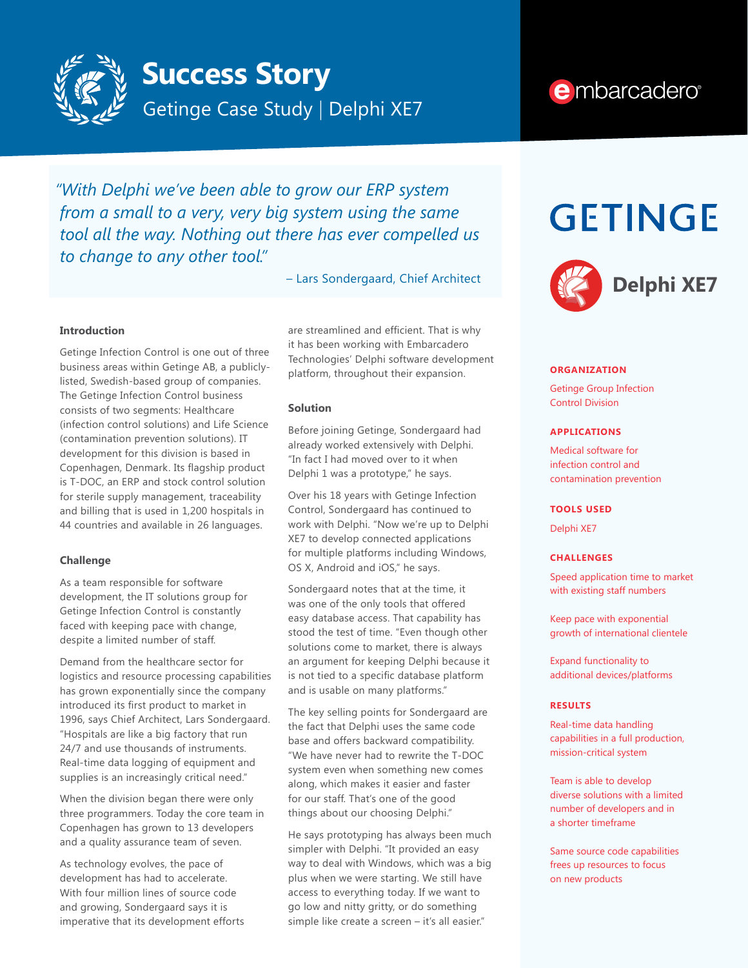

## **Success Story**

Getinge Case Study | Delphi XE7

### e mbarcadero<sup>®</sup>

*"With Delphi we've been able to grow our ERP system from a small to a very, very big system using the same tool all the way. Nothing out there has ever compelled us to change to any other tool."*

– Lars Sondergaard, Chief Architect

#### **Introduction**

Getinge Infection Control is one out of three business areas within Getinge AB, a publiclylisted, Swedish-based group of companies. The Getinge Infection Control business consists of two segments: Healthcare (infection control solutions) and Life Science (contamination prevention solutions). IT development for this division is based in Copenhagen, Denmark. Its flagship product is T-DOC, an ERP and stock control solution for sterile supply management, traceability and billing that is used in 1,200 hospitals in 44 countries and available in 26 languages.

#### **Challenge**

As a team responsible for software development, the IT solutions group for Getinge Infection Control is constantly faced with keeping pace with change, despite a limited number of staff.

Demand from the healthcare sector for logistics and resource processing capabilities has grown exponentially since the company introduced its first product to market in 1996, says Chief Architect, Lars Sondergaard. "Hospitals are like a big factory that run 24/7 and use thousands of instruments. Real-time data logging of equipment and supplies is an increasingly critical need."

When the division began there were only three programmers. Today the core team in Copenhagen has grown to 13 developers and a quality assurance team of seven.

As technology evolves, the pace of development has had to accelerate. With four million lines of source code and growing, Sondergaard says it is imperative that its development efforts

are streamlined and efficient. That is why it has been working with Embarcadero Technologies' Delphi software development platform, throughout their expansion.

#### **Solution**

Before joining Getinge, Sondergaard had already worked extensively with Delphi. "In fact I had moved over to it when Delphi 1 was a prototype," he says.

Over his 18 years with Getinge Infection Control, Sondergaard has continued to work with Delphi. "Now we're up to Delphi XE7 to develop connected applications for multiple platforms including Windows, OS X, Android and iOS," he says.

Sondergaard notes that at the time, it was one of the only tools that offered easy database access. That capability has stood the test of time. "Even though other solutions come to market, there is always an argument for keeping Delphi because it is not tied to a specific database platform and is usable on many platforms."

The key selling points for Sondergaard are the fact that Delphi uses the same code base and offers backward compatibility. "We have never had to rewrite the T-DOC system even when something new comes along, which makes it easier and faster for our staff. That's one of the good things about our choosing Delphi."

He says prototyping has always been much simpler with Delphi. "It provided an easy way to deal with Windows, which was a big plus when we were starting. We still have access to everything today. If we want to go low and nitty gritty, or do something simple like create a screen – it's all easier."

# **GETINGE**



#### **ORGANIZATION**

Getinge Group Infection Control Division

#### **APPLICATIONS**

Medical software for infection control and contamination prevention

#### **TOOLS USED**

Delphi XE7

#### **CHALLENGES**

Speed application time to market with existing staff numbers

Keep pace with exponential growth of international clientele

Expand functionality to additional devices/platforms

#### **RESULTS**

Real-time data handling capabilities in a full production, mission-critical system

Team is able to develop diverse solutions with a limited number of developers and in a shorter timeframe

Same source code capabilities frees up resources to focus on new products